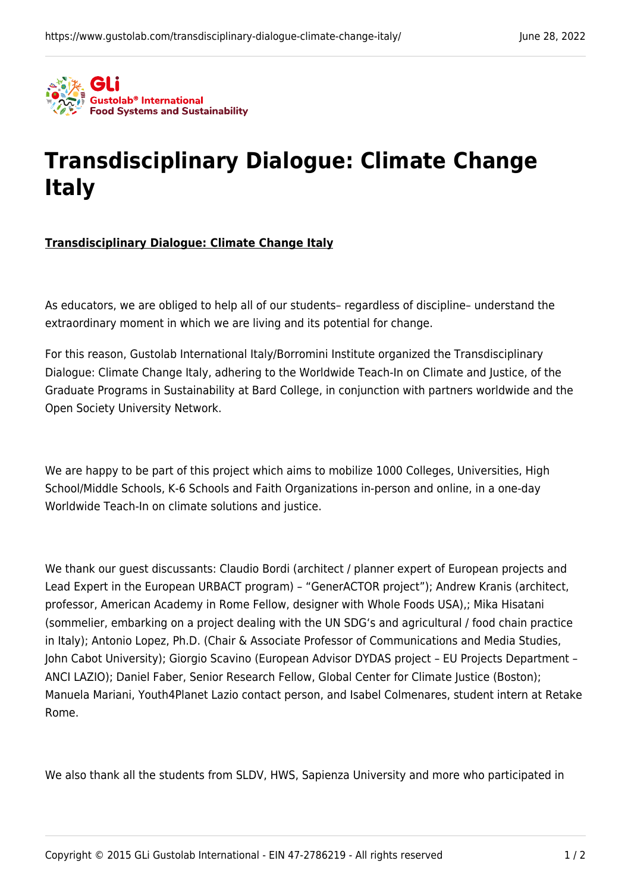

## **[Transdisciplinary Dialogue: Climate Change](https://www.gustolab.com/transdisciplinary-dialogue-climate-change-italy/) [Italy](https://www.gustolab.com/transdisciplinary-dialogue-climate-change-italy/)**

## **Transdisciplinary Dialogue: Climate Change Italy**

As educators, we are obliged to help all of our students– regardless of discipline– understand the extraordinary moment in which we are living and its potential for change.

For this reason, Gustolab International Italy/Borromini Institute organized the Transdisciplinary Dialogue: Climate Change Italy, adhering to th[e Worldwide Teach-In on Climate and Justice,](https://gps.bard.edu/world-wide-teach-in) of the Graduate Programs in Sustainability at Bard College, in conjunction with partners worldwide and the Open Society University Network.

We are happy to be part of this project which aims to [mobilize 1000 Colleges, Universities, High](https://earthday.maps.arcgis.com/apps/dashboards/3099472c8d794908917c23d06dffd2cb) [School/Middle Schools, K-6 Schools and Faith Organizations](https://earthday.maps.arcgis.com/apps/dashboards/3099472c8d794908917c23d06dffd2cb) in-person and online, in a one-day Worldwide Teach-In on climate solutions and justice.

We thank our guest discussants: Claudio Bordi (architect / planner expert of European projects and Lead Expert in the European URBACT program) – "GenerACTOR project"); Andrew Kranis (architect, professor, American Academy in Rome Fellow, designer with Whole Foods USA),; Mika Hisatani (sommelier, embarking on a project dealing with the UN SDG's and agricultural / food chain practice in Italy); Antonio Lopez, Ph.D. (Chair & Associate Professor of Communications and Media Studies, John Cabot University); Giorgio Scavino (European Advisor DYDAS project – EU Projects Department – ANCI LAZIO); Daniel Faber, Senior Research Fellow, Global Center for Climate Justice (Boston); Manuela Mariani, Youth4Planet Lazio contact person, and Isabel Colmenares, student intern at Retake Rome.

We also thank all the students from SLDV, HWS, Sapienza University and more who participated in